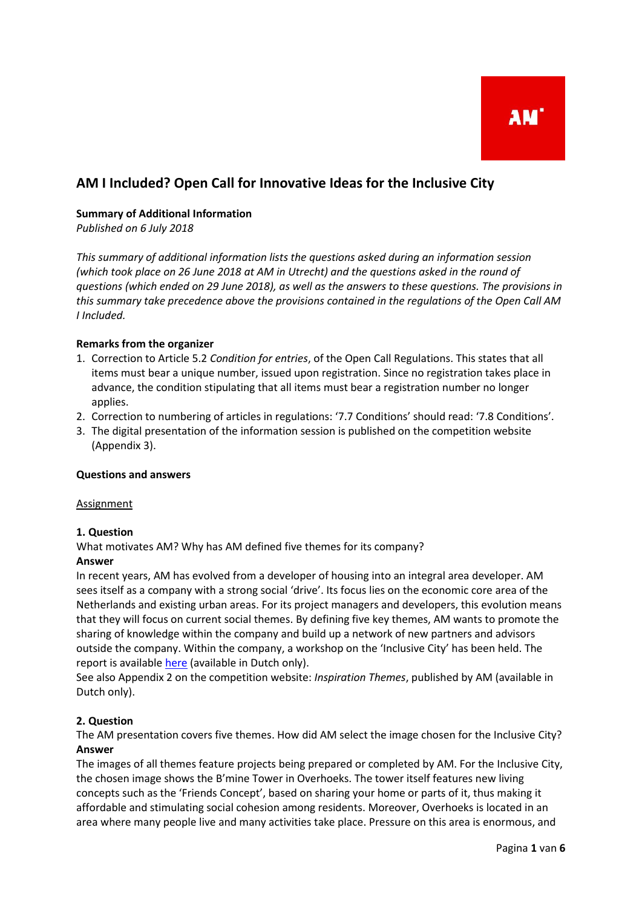# **AM I Included? Open Call for Innovative Ideas for the Inclusive City**

## **Summary of Additional Information**

*Published on 6 July 2018* 

*This summary of additional information lists the questions asked during an information session (which took place on 26 June 2018 at AM in Utrecht) and the questions asked in the round of questions (which ended on 29 June 2018), as well as the answers to these questions. The provisions in this summary take precedence above the provisions contained in the regulations of the Open Call AM I Included.* 

## **Remarks from the organizer**

- 1. Correction to Article 5.2 *Condition for entries*, of the Open Call Regulations. This states that all items must bear a unique number, issued upon registration. Since no registration takes place in advance, the condition stipulating that all items must bear a registration number no longer applies.
- 2. Correction to numbering of articles in regulations: '7.7 Conditions' should read: '7.8 Conditions'.
- 3. The digital presentation of the information session is published on the competition website (Appendix 3).

## **Questions and answers**

#### **Assignment**

## **1. Question**

What motivates AM? Why has AM defined five themes for its company?

## **Answer**

In recent years, AM has evolved from a developer of housing into an integral area developer. AM sees itself as a company with a strong social 'drive'. Its focus lies on the economic core area of the Netherlands and existing urban areas. For its project managers and developers, this evolution means that they will focus on current social themes. By defining five key themes, AM wants to promote the sharing of knowledge within the company and build up a network of new partners and advisors outside the company. Within the company, a workshop on the 'Inclusive City' has been held. The report is available [here](https://www.am.nl/themas/inclusieve-stad/) (available in Dutch only).

See also Appendix 2 on the competition website: *Inspiration Themes*, published by AM (available in Dutch only).

## **2. Question**

The AM presentation covers five themes. How did AM select the image chosen for the Inclusive City? **Answer**

The images of all themes feature projects being prepared or completed by AM. For the Inclusive City, the chosen image shows the B'mine Tower in Overhoeks. The tower itself features new living concepts such as the 'Friends Concept', based on sharing your home or parts of it, thus making it affordable and stimulating social cohesion among residents. Moreover, Overhoeks is located in an area where many people live and many activities take place. Pressure on this area is enormous, and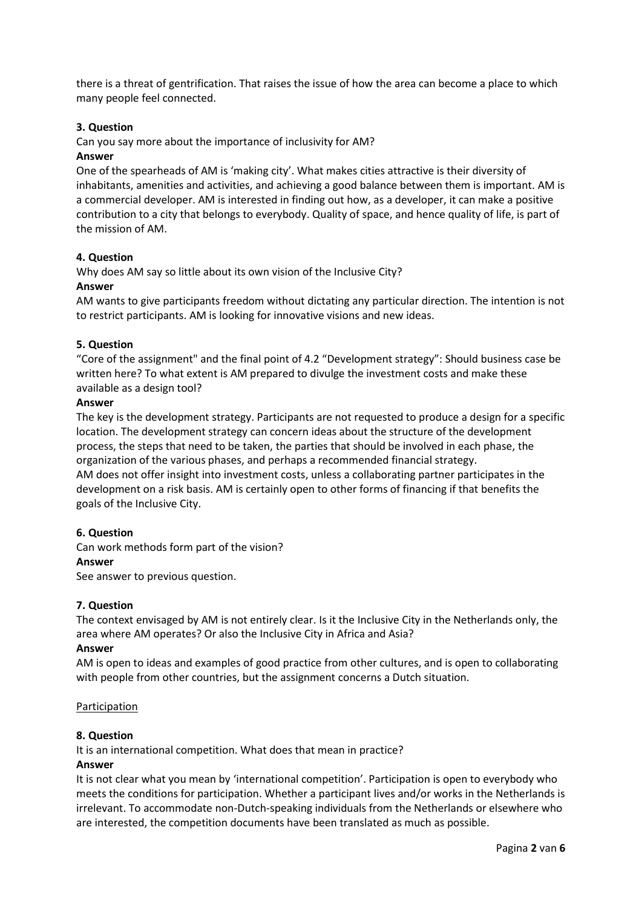there is a threat of gentrification. That raises the issue of how the area can become a place to which many people feel connected.

## **3. Question**

Can you say more about the importance of inclusivity for AM?

## **Answer**

One of the spearheads of AM is 'making city'. What makes cities attractive is their diversity of inhabitants, amenities and activities, and achieving a good balance between them is important. AM is a commercial developer. AM is interested in finding out how, as a developer, it can make a positive contribution to a city that belongs to everybody. Quality of space, and hence quality of life, is part of the mission of AM.

## **4. Question**

Why does AM say so little about its own vision of the Inclusive City?

## **Answer**

AM wants to give participants freedom without dictating any particular direction. The intention is not to restrict participants. AM is looking for innovative visions and new ideas.

## **5. Question**

"Core of the assignment" and the final point of 4.2 "Development strategy": Should business case be written here? To what extent is AM prepared to divulge the investment costs and make these available as a design tool?

## **Answer**

The key is the development strategy. Participants are not requested to produce a design for a specific location. The development strategy can concern ideas about the structure of the development process, the steps that need to be taken, the parties that should be involved in each phase, the organization of the various phases, and perhaps a recommended financial strategy.

AM does not offer insight into investment costs, unless a collaborating partner participates in the development on a risk basis. AM is certainly open to other forms of financing if that benefits the goals of the Inclusive City.

## **6. Question**

Can work methods form part of the vision?

## **Answer**

See answer to previous question.

## **7. Question**

The context envisaged by AM is not entirely clear. Is it the Inclusive City in the Netherlands only, the area where AM operates? Or also the Inclusive City in Africa and Asia?

## **Answer**

AM is open to ideas and examples of good practice from other cultures, and is open to collaborating with people from other countries, but the assignment concerns a Dutch situation.

## Participation

## **8. Question**

It is an international competition. What does that mean in practice?

## **Answer**

It is not clear what you mean by 'international competition'. Participation is open to everybody who meets the conditions for participation. Whether a participant lives and/or works in the Netherlands is irrelevant. To accommodate non-Dutch-speaking individuals from the Netherlands or elsewhere who are interested, the competition documents have been translated as much as possible.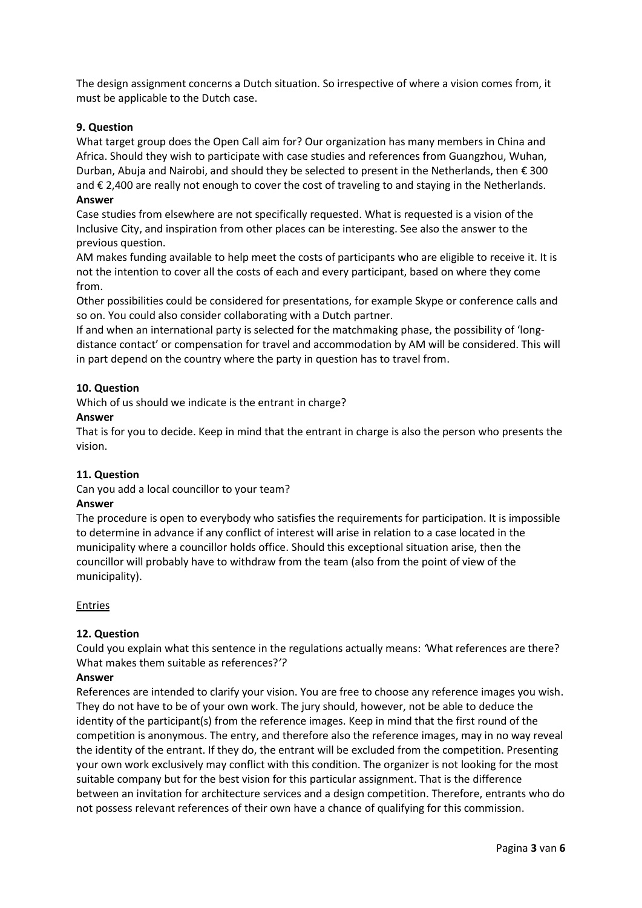The design assignment concerns a Dutch situation. So irrespective of where a vision comes from, it must be applicable to the Dutch case.

## **9. Question**

What target group does the Open Call aim for? Our organization has many members in China and Africa. Should they wish to participate with case studies and references from Guangzhou, Wuhan, Durban, Abuja and Nairobi, and should they be selected to present in the Netherlands, then € 300 and € 2,400 are really not enough to cover the cost of traveling to and staying in the Netherlands.

#### **Answer**

Case studies from elsewhere are not specifically requested. What is requested is a vision of the Inclusive City, and inspiration from other places can be interesting. See also the answer to the previous question.

AM makes funding available to help meet the costs of participants who are eligible to receive it. It is not the intention to cover all the costs of each and every participant, based on where they come from.

Other possibilities could be considered for presentations, for example Skype or conference calls and so on. You could also consider collaborating with a Dutch partner.

If and when an international party is selected for the matchmaking phase, the possibility of 'longdistance contact' or compensation for travel and accommodation by AM will be considered. This will in part depend on the country where the party in question has to travel from.

## **10. Question**

Which of us should we indicate is the entrant in charge?

## **Answer**

That is for you to decide. Keep in mind that the entrant in charge is also the person who presents the vision.

## **11. Question**

Can you add a local councillor to your team?

## **Answer**

The procedure is open to everybody who satisfies the requirements for participation. It is impossible to determine in advance if any conflict of interest will arise in relation to a case located in the municipality where a councillor holds office. Should this exceptional situation arise, then the councillor will probably have to withdraw from the team (also from the point of view of the municipality).

## Entries

## **12. Question**

Could you explain what this sentence in the regulations actually means: *'*What references are there? What makes them suitable as references?*'?*

## **Answer**

References are intended to clarify your vision. You are free to choose any reference images you wish. They do not have to be of your own work. The jury should, however, not be able to deduce the identity of the participant(s) from the reference images. Keep in mind that the first round of the competition is anonymous. The entry, and therefore also the reference images, may in no way reveal the identity of the entrant. If they do, the entrant will be excluded from the competition. Presenting your own work exclusively may conflict with this condition. The organizer is not looking for the most suitable company but for the best vision for this particular assignment. That is the difference between an invitation for architecture services and a design competition. Therefore, entrants who do not possess relevant references of their own have a chance of qualifying for this commission.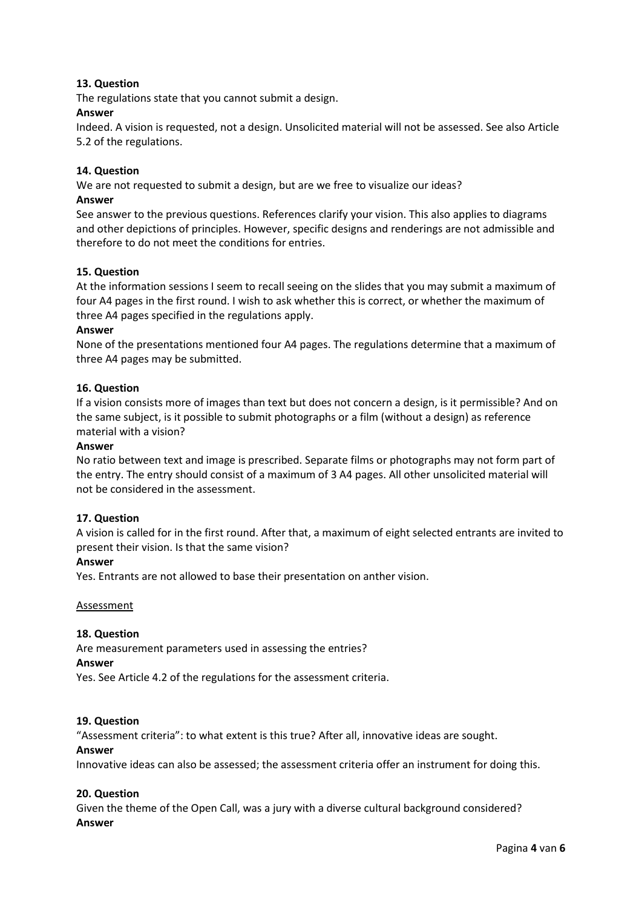## **13. Question**

The regulations state that you cannot submit a design.

#### **Answer**

Indeed. A vision is requested, not a design. Unsolicited material will not be assessed. See also Article 5.2 of the regulations.

#### **14. Question**

We are not requested to submit a design, but are we free to visualize our ideas?

## **Answer**

See answer to the previous questions. References clarify your vision. This also applies to diagrams and other depictions of principles. However, specific designs and renderings are not admissible and therefore to do not meet the conditions for entries.

#### **15. Question**

At the information sessions I seem to recall seeing on the slides that you may submit a maximum of four A4 pages in the first round. I wish to ask whether this is correct, or whether the maximum of three A4 pages specified in the regulations apply.

#### **Answer**

None of the presentations mentioned four A4 pages. The regulations determine that a maximum of three A4 pages may be submitted.

## **16. Question**

If a vision consists more of images than text but does not concern a design, is it permissible? And on the same subject, is it possible to submit photographs or a film (without a design) as reference material with a vision?

#### **Answer**

No ratio between text and image is prescribed. Separate films or photographs may not form part of the entry. The entry should consist of a maximum of 3 A4 pages. All other unsolicited material will not be considered in the assessment.

## **17. Question**

A vision is called for in the first round. After that, a maximum of eight selected entrants are invited to present their vision. Is that the same vision?

#### **Answer**

Yes. Entrants are not allowed to base their presentation on anther vision.

#### **Assessment**

#### **18. Question**

Are measurement parameters used in assessing the entries?

#### **Answer**

Yes. See Article 4.2 of the regulations for the assessment criteria.

## **19. Question**

"Assessment criteria": to what extent is this true? After all, innovative ideas are sought.

#### **Answer**

Innovative ideas can also be assessed; the assessment criteria offer an instrument for doing this.

## **20. Question**

Given the theme of the Open Call, was a jury with a diverse cultural background considered? **Answer**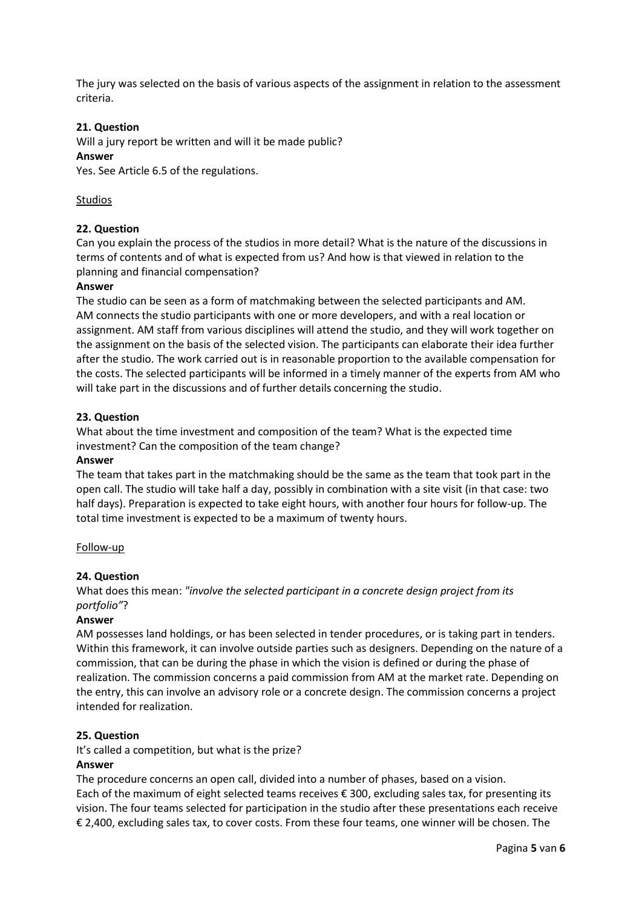The jury was selected on the basis of various aspects of the assignment in relation to the assessment criteria.

## **21. Question**

Will a jury report be written and will it be made public?

## **Answer**

Yes. See Article 6.5 of the regulations.

## Studios

## **22. Question**

Can you explain the process of the studios in more detail? What is the nature of the discussions in terms of contents and of what is expected from us? And how is that viewed in relation to the planning and financial compensation?

## **Answer**

The studio can be seen as a form of matchmaking between the selected participants and AM. AM connects the studio participants with one or more developers, and with a real location or assignment. AM staff from various disciplines will attend the studio, and they will work together on the assignment on the basis of the selected vision. The participants can elaborate their idea further after the studio. The work carried out is in reasonable proportion to the available compensation for the costs. The selected participants will be informed in a timely manner of the experts from AM who will take part in the discussions and of further details concerning the studio.

## **23. Question**

What about the time investment and composition of the team? What is the expected time investment? Can the composition of the team change?

## **Answer**

The team that takes part in the matchmaking should be the same as the team that took part in the open call. The studio will take half a day, possibly in combination with a site visit (in that case: two half days). Preparation is expected to take eight hours, with another four hours for follow-up. The total time investment is expected to be a maximum of twenty hours.

## Follow-up

## **24. Question**

What does this mean: *"involve the selected participant in a concrete design project from its portfolio"*?

## **Answer**

AM possesses land holdings, or has been selected in tender procedures, or is taking part in tenders. Within this framework, it can involve outside parties such as designers. Depending on the nature of a commission, that can be during the phase in which the vision is defined or during the phase of realization. The commission concerns a paid commission from AM at the market rate. Depending on the entry, this can involve an advisory role or a concrete design. The commission concerns a project intended for realization.

## **25. Question**

It's called a competition, but what is the prize?

## **Answer**

The procedure concerns an open call, divided into a number of phases, based on a vision. Each of the maximum of eight selected teams receives € 300, excluding sales tax, for presenting its vision. The four teams selected for participation in the studio after these presentations each receive € 2,400, excluding sales tax, to cover costs. From these four teams, one winner will be chosen. The